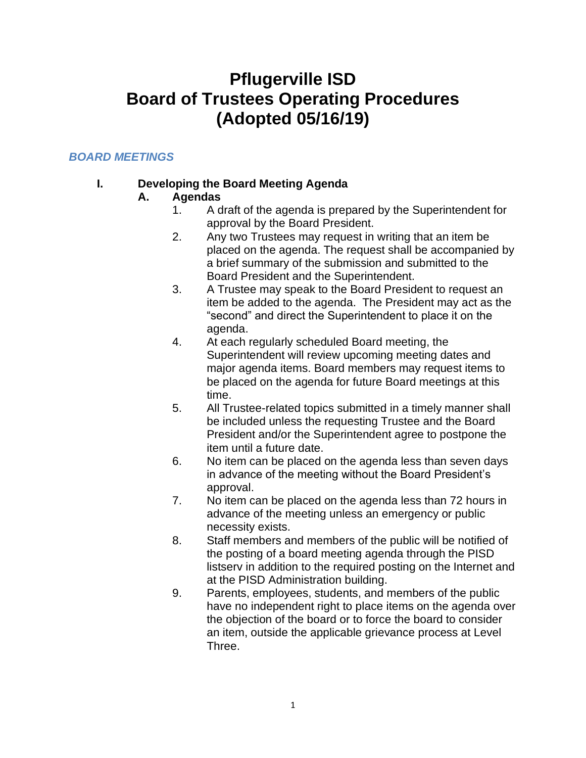# **Pflugerville ISD Board of Trustees Operating Procedures (Adopted 05/16/19)**

# *BOARD MEETINGS*

### **I. Developing the Board Meeting Agenda**

#### **A. Agendas**

- 1. A draft of the agenda is prepared by the Superintendent for approval by the Board President.
- 2. Any two Trustees may request in writing that an item be placed on the agenda. The request shall be accompanied by a brief summary of the submission and submitted to the Board President and the Superintendent.
- 3. A Trustee may speak to the Board President to request an item be added to the agenda. The President may act as the "second" and direct the Superintendent to place it on the agenda.
- 4. At each regularly scheduled Board meeting, the Superintendent will review upcoming meeting dates and major agenda items. Board members may request items to be placed on the agenda for future Board meetings at this time.
- 5. All Trustee-related topics submitted in a timely manner shall be included unless the requesting Trustee and the Board President and/or the Superintendent agree to postpone the item until a future date.
- 6. No item can be placed on the agenda less than seven days in advance of the meeting without the Board President's approval.
- 7. No item can be placed on the agenda less than 72 hours in advance of the meeting unless an emergency or public necessity exists.
- 8. Staff members and members of the public will be notified of the posting of a board meeting agenda through the PISD listserv in addition to the required posting on the Internet and at the PISD Administration building.
- 9. Parents, employees, students, and members of the public have no independent right to place items on the agenda over the objection of the board or to force the board to consider an item, outside the applicable grievance process at Level Three.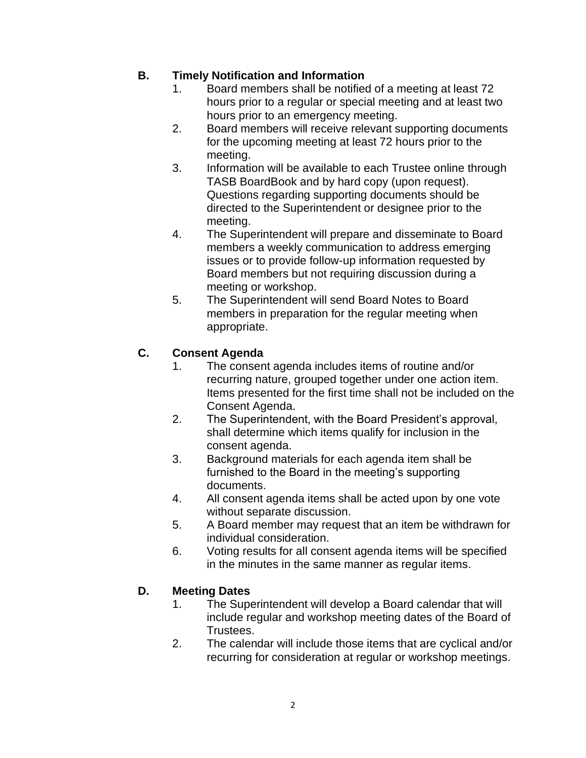### **B. Timely Notification and Information**

- 1. Board members shall be notified of a meeting at least 72 hours prior to a regular or special meeting and at least two hours prior to an emergency meeting.
- 2. Board members will receive relevant supporting documents for the upcoming meeting at least 72 hours prior to the meeting.
- 3. Information will be available to each Trustee online through TASB BoardBook and by hard copy (upon request). Questions regarding supporting documents should be directed to the Superintendent or designee prior to the meeting.
- 4. The Superintendent will prepare and disseminate to Board members a weekly communication to address emerging issues or to provide follow-up information requested by Board members but not requiring discussion during a meeting or workshop.
- 5. The Superintendent will send Board Notes to Board members in preparation for the regular meeting when appropriate.

# **C. Consent Agenda**

- 1. The consent agenda includes items of routine and/or recurring nature, grouped together under one action item. Items presented for the first time shall not be included on the Consent Agenda.
- 2. The Superintendent, with the Board President's approval, shall determine which items qualify for inclusion in the consent agenda.
- 3. Background materials for each agenda item shall be furnished to the Board in the meeting's supporting documents.
- 4. All consent agenda items shall be acted upon by one vote without separate discussion.
- 5. A Board member may request that an item be withdrawn for individual consideration.
- 6. Voting results for all consent agenda items will be specified in the minutes in the same manner as regular items.

#### **D. Meeting Dates**

- 1. The Superintendent will develop a Board calendar that will include regular and workshop meeting dates of the Board of Trustees.
- 2. The calendar will include those items that are cyclical and/or recurring for consideration at regular or workshop meetings.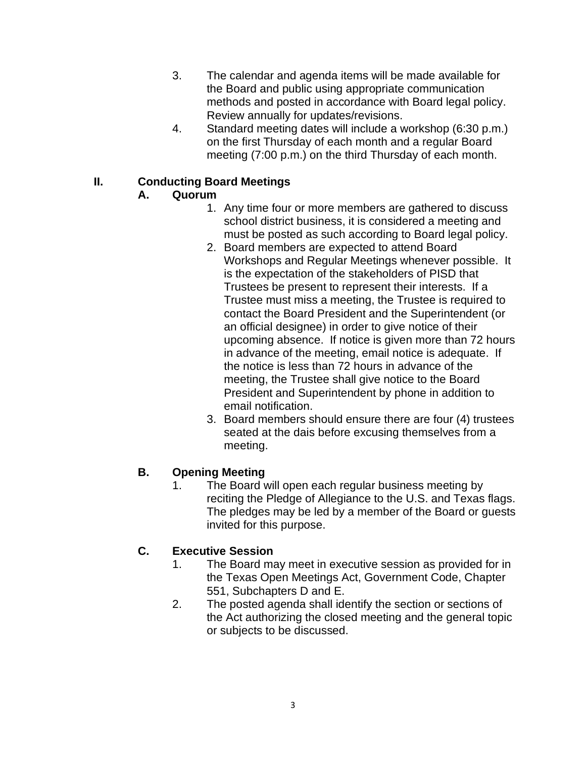- 3. The calendar and agenda items will be made available for the Board and public using appropriate communication methods and posted in accordance with Board legal policy. Review annually for updates/revisions.
- 4. Standard meeting dates will include a workshop (6:30 p.m.) on the first Thursday of each month and a regular Board meeting (7:00 p.m.) on the third Thursday of each month.

# **II. Conducting Board Meetings**

# **A. Quorum**

- 1. Any time four or more members are gathered to discuss school district business, it is considered a meeting and must be posted as such according to Board legal policy.
- 2. Board members are expected to attend Board Workshops and Regular Meetings whenever possible. It is the expectation of the stakeholders of PISD that Trustees be present to represent their interests. If a Trustee must miss a meeting, the Trustee is required to contact the Board President and the Superintendent (or an official designee) in order to give notice of their upcoming absence. If notice is given more than 72 hours in advance of the meeting, email notice is adequate. If the notice is less than 72 hours in advance of the meeting, the Trustee shall give notice to the Board President and Superintendent by phone in addition to email notification.
- 3. Board members should ensure there are four (4) trustees seated at the dais before excusing themselves from a meeting.

# **B. Opening Meeting**

1. The Board will open each regular business meeting by reciting the Pledge of Allegiance to the U.S. and Texas flags. The pledges may be led by a member of the Board or guests invited for this purpose.

# **C. Executive Session**

- 1. The Board may meet in executive session as provided for in the Texas Open Meetings Act, Government Code, Chapter 551, Subchapters D and E.
- 2. The posted agenda shall identify the section or sections of the Act authorizing the closed meeting and the general topic or subjects to be discussed.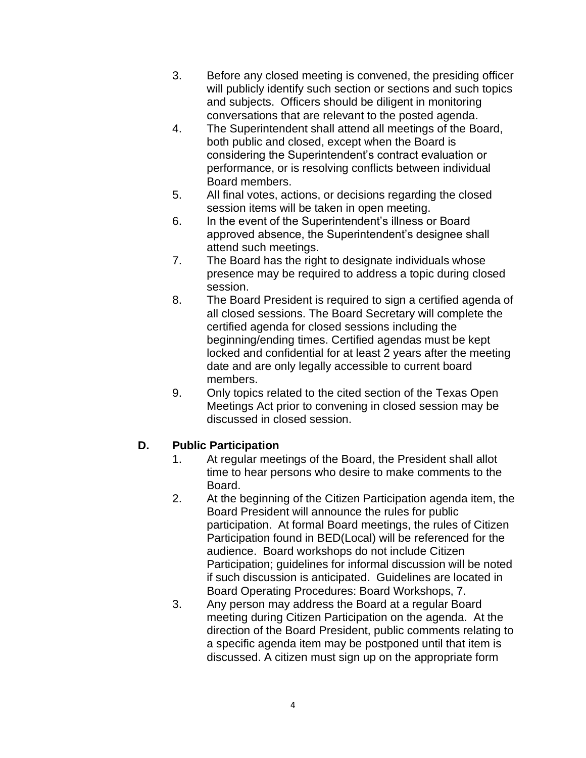- 3. Before any closed meeting is convened, the presiding officer will publicly identify such section or sections and such topics and subjects. Officers should be diligent in monitoring conversations that are relevant to the posted agenda.
- 4. The Superintendent shall attend all meetings of the Board, both public and closed, except when the Board is considering the Superintendent's contract evaluation or performance, or is resolving conflicts between individual Board members.
- 5. All final votes, actions, or decisions regarding the closed session items will be taken in open meeting.
- 6. In the event of the Superintendent's illness or Board approved absence, the Superintendent's designee shall attend such meetings.
- 7. The Board has the right to designate individuals whose presence may be required to address a topic during closed session.
- 8. The Board President is required to sign a certified agenda of all closed sessions. The Board Secretary will complete the certified agenda for closed sessions including the beginning/ending times. Certified agendas must be kept locked and confidential for at least 2 years after the meeting date and are only legally accessible to current board members.
- 9. Only topics related to the cited section of the Texas Open Meetings Act prior to convening in closed session may be discussed in closed session.

#### **D. Public Participation**

- 1. At regular meetings of the Board, the President shall allot time to hear persons who desire to make comments to the Board.
- 2. At the beginning of the Citizen Participation agenda item, the Board President will announce the rules for public participation. At formal Board meetings, the rules of Citizen Participation found in BED(Local) will be referenced for the audience. Board workshops do not include Citizen Participation; guidelines for informal discussion will be noted if such discussion is anticipated. Guidelines are located in Board Operating Procedures: Board Workshops, 7.
- 3. Any person may address the Board at a regular Board meeting during Citizen Participation on the agenda. At the direction of the Board President, public comments relating to a specific agenda item may be postponed until that item is discussed. A citizen must sign up on the appropriate form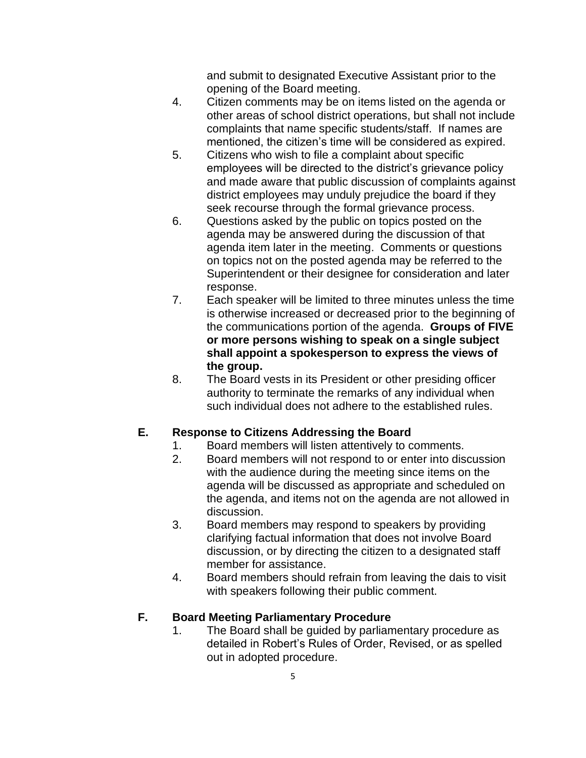and submit to designated Executive Assistant prior to the opening of the Board meeting.

- 4. Citizen comments may be on items listed on the agenda or other areas of school district operations, but shall not include complaints that name specific students/staff. If names are mentioned, the citizen's time will be considered as expired.
- 5. Citizens who wish to file a complaint about specific employees will be directed to the district's grievance policy and made aware that public discussion of complaints against district employees may unduly prejudice the board if they seek recourse through the formal grievance process.
- 6. Questions asked by the public on topics posted on the agenda may be answered during the discussion of that agenda item later in the meeting. Comments or questions on topics not on the posted agenda may be referred to the Superintendent or their designee for consideration and later response.
- 7. Each speaker will be limited to three minutes unless the time is otherwise increased or decreased prior to the beginning of the communications portion of the agenda. **Groups of FIVE or more persons wishing to speak on a single subject shall appoint a spokesperson to express the views of the group.**
- 8. The Board vests in its President or other presiding officer authority to terminate the remarks of any individual when such individual does not adhere to the established rules.

#### **E. Response to Citizens Addressing the Board**

- 1. Board members will listen attentively to comments.
- 2. Board members will not respond to or enter into discussion with the audience during the meeting since items on the agenda will be discussed as appropriate and scheduled on the agenda, and items not on the agenda are not allowed in discussion.
- 3. Board members may respond to speakers by providing clarifying factual information that does not involve Board discussion, or by directing the citizen to a designated staff member for assistance.
- 4. Board members should refrain from leaving the dais to visit with speakers following their public comment.

#### **F. Board Meeting Parliamentary Procedure**

1. The Board shall be guided by parliamentary procedure as detailed in Robert's Rules of Order, Revised, or as spelled out in adopted procedure.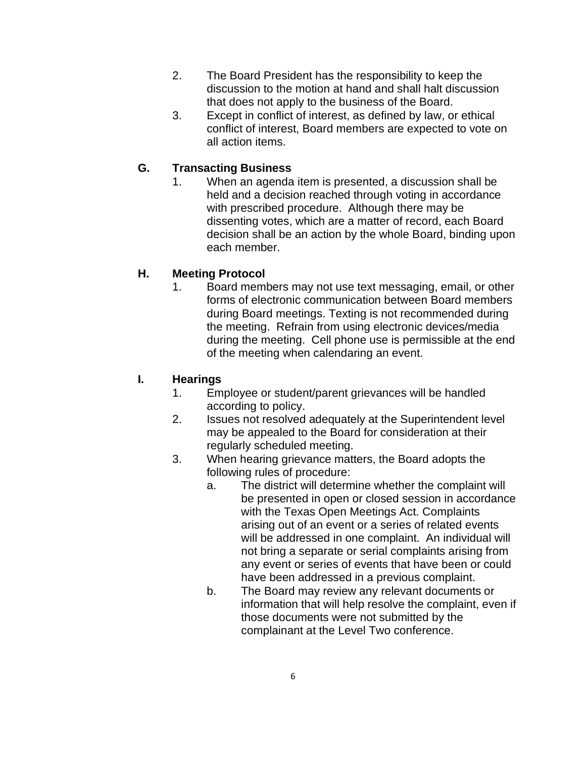- 2. The Board President has the responsibility to keep the discussion to the motion at hand and shall halt discussion that does not apply to the business of the Board.
- 3. Except in conflict of interest, as defined by law, or ethical conflict of interest, Board members are expected to vote on all action items.

### **G. Transacting Business**

1. When an agenda item is presented, a discussion shall be held and a decision reached through voting in accordance with prescribed procedure. Although there may be dissenting votes, which are a matter of record, each Board decision shall be an action by the whole Board, binding upon each member.

#### **H. Meeting Protocol**

1. Board members may not use text messaging, email, or other forms of electronic communication between Board members during Board meetings. Texting is not recommended during the meeting. Refrain from using electronic devices/media during the meeting. Cell phone use is permissible at the end of the meeting when calendaring an event.

#### **I. Hearings**

- 1. Employee or student/parent grievances will be handled according to policy.
- 2. Issues not resolved adequately at the Superintendent level may be appealed to the Board for consideration at their regularly scheduled meeting.
- 3. When hearing grievance matters, the Board adopts the following rules of procedure:
	- a. The district will determine whether the complaint will be presented in open or closed session in accordance with the Texas Open Meetings Act. Complaints arising out of an event or a series of related events will be addressed in one complaint. An individual will not bring a separate or serial complaints arising from any event or series of events that have been or could have been addressed in a previous complaint.
	- b. The Board may review any relevant documents or information that will help resolve the complaint, even if those documents were not submitted by the complainant at the Level Two conference.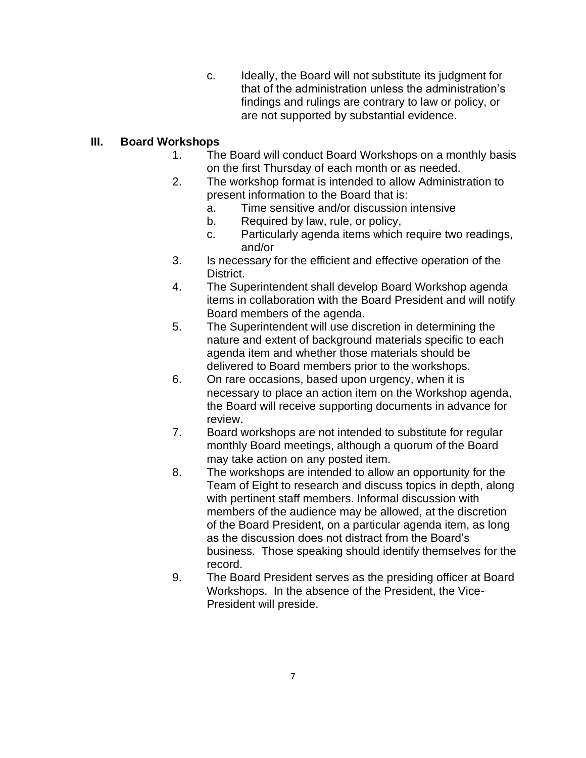c. Ideally, the Board will not substitute its judgment for that of the administration unless the administration's findings and rulings are contrary to law or policy, or are not supported by substantial evidence.

#### **III. Board Workshops**

- 1. The Board will conduct Board Workshops on a monthly basis on the first Thursday of each month or as needed.
- 2. The workshop format is intended to allow Administration to present information to the Board that is:
	- a. Time sensitive and/or discussion intensive
	- b. Required by law, rule, or policy,
	- c. Particularly agenda items which require two readings, and/or
- 3. Is necessary for the efficient and effective operation of the District.
- 4. The Superintendent shall develop Board Workshop agenda items in collaboration with the Board President and will notify Board members of the agenda.
- 5. The Superintendent will use discretion in determining the nature and extent of background materials specific to each agenda item and whether those materials should be delivered to Board members prior to the workshops.
- 6. On rare occasions, based upon urgency, when it is necessary to place an action item on the Workshop agenda, the Board will receive supporting documents in advance for review.
- 7. Board workshops are not intended to substitute for regular monthly Board meetings, although a quorum of the Board may take action on any posted item.
- 8. The workshops are intended to allow an opportunity for the Team of Eight to research and discuss topics in depth, along with pertinent staff members. Informal discussion with members of the audience may be allowed, at the discretion of the Board President, on a particular agenda item, as long as the discussion does not distract from the Board's business. Those speaking should identify themselves for the record.
- 9. The Board President serves as the presiding officer at Board Workshops. In the absence of the President, the Vice-President will preside.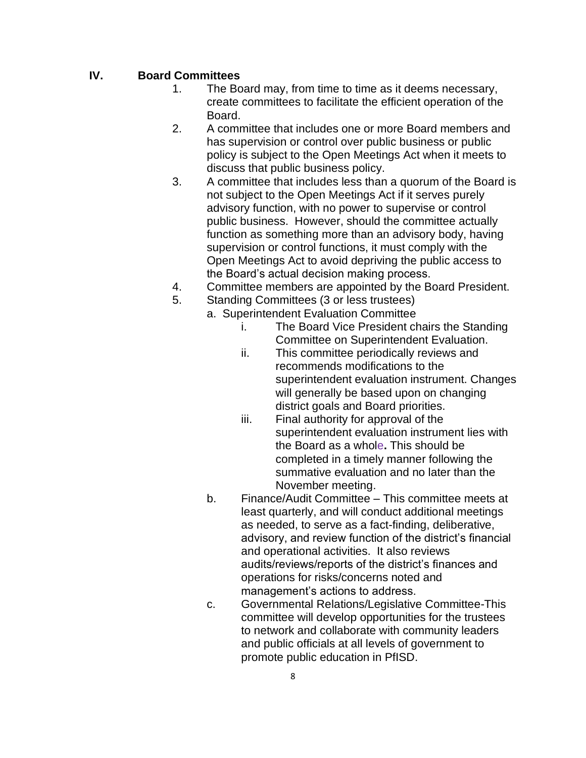### **IV. Board Committees**

- 1. The Board may, from time to time as it deems necessary, create committees to facilitate the efficient operation of the Board.
- 2. A committee that includes one or more Board members and has supervision or control over public business or public policy is subject to the Open Meetings Act when it meets to discuss that public business policy.
- 3. A committee that includes less than a quorum of the Board is not subject to the Open Meetings Act if it serves purely advisory function, with no power to supervise or control public business. However, should the committee actually function as something more than an advisory body, having supervision or control functions, it must comply with the Open Meetings Act to avoid depriving the public access to the Board's actual decision making process.
- 4. Committee members are appointed by the Board President.
- 5. Standing Committees (3 or less trustees)
	- a. Superintendent Evaluation Committee
		- i. The Board Vice President chairs the Standing Committee on Superintendent Evaluation.
		- ii. This committee periodically reviews and recommends modifications to the superintendent evaluation instrument. Changes will generally be based upon on changing district goals and Board priorities.
		- iii. Final authority for approval of the superintendent evaluation instrument lies with the Board as a whole**.** This should be completed in a timely manner following the summative evaluation and no later than the November meeting.
	- b. Finance/Audit Committee This committee meets at least quarterly, and will conduct additional meetings as needed, to serve as a fact-finding, deliberative, advisory, and review function of the district's financial and operational activities. It also reviews audits/reviews/reports of the district's finances and operations for risks/concerns noted and management's actions to address.
	- c. Governmental Relations/Legislative Committee-This committee will develop opportunities for the trustees to network and collaborate with community leaders and public officials at all levels of government to promote public education in PfISD.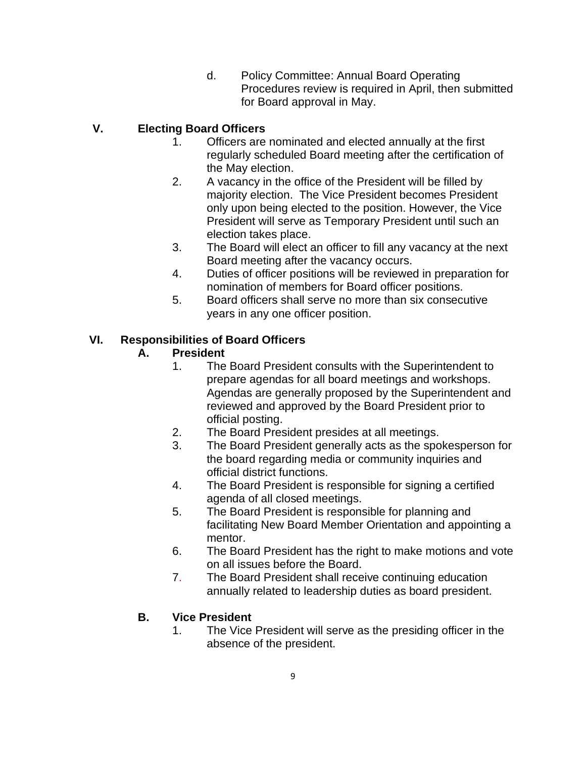d. Policy Committee: Annual Board Operating Procedures review is required in April, then submitted for Board approval in May.

### **V. Electing Board Officers**

- 1. Officers are nominated and elected annually at the first regularly scheduled Board meeting after the certification of the May election.
- 2. A vacancy in the office of the President will be filled by majority election. The Vice President becomes President only upon being elected to the position. However, the Vice President will serve as Temporary President until such an election takes place.
- 3. The Board will elect an officer to fill any vacancy at the next Board meeting after the vacancy occurs.
- 4. Duties of officer positions will be reviewed in preparation for nomination of members for Board officer positions.
- 5. Board officers shall serve no more than six consecutive years in any one officer position.

#### **VI. Responsibilities of Board Officers**

#### **A. President**

- 1. The Board President consults with the Superintendent to prepare agendas for all board meetings and workshops. Agendas are generally proposed by the Superintendent and reviewed and approved by the Board President prior to official posting.
- 2. The Board President presides at all meetings.
- 3. The Board President generally acts as the spokesperson for the board regarding media or community inquiries and official district functions.
- 4. The Board President is responsible for signing a certified agenda of all closed meetings.
- 5. The Board President is responsible for planning and facilitating New Board Member Orientation and appointing a mentor.
- 6. The Board President has the right to make motions and vote on all issues before the Board.
- 7. The Board President shall receive continuing education annually related to leadership duties as board president.

#### **B. Vice President**

1. The Vice President will serve as the presiding officer in the absence of the president.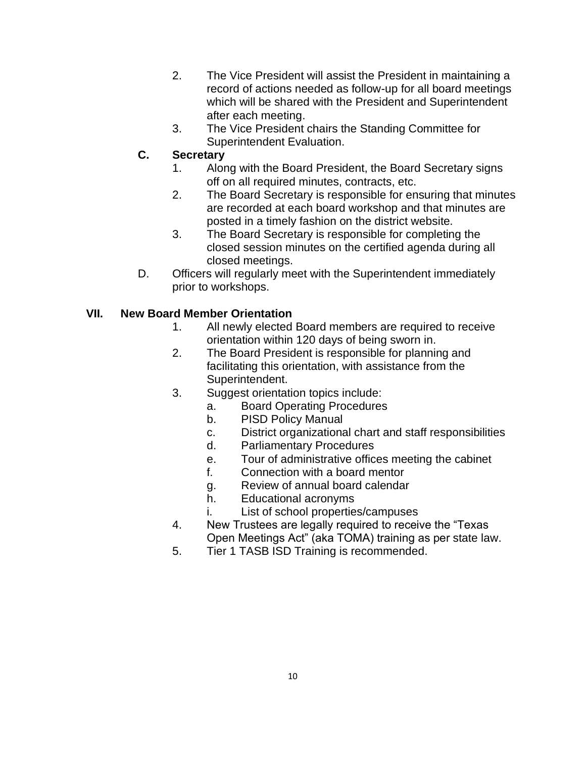- 2. The Vice President will assist the President in maintaining a record of actions needed as follow-up for all board meetings which will be shared with the President and Superintendent after each meeting.
- 3. The Vice President chairs the Standing Committee for Superintendent Evaluation.

### **C. Secretary**

- 1. Along with the Board President, the Board Secretary signs off on all required minutes, contracts, etc.
- 2. The Board Secretary is responsible for ensuring that minutes are recorded at each board workshop and that minutes are posted in a timely fashion on the district website.
- 3. The Board Secretary is responsible for completing the closed session minutes on the certified agenda during all closed meetings.
- D. Officers will regularly meet with the Superintendent immediately prior to workshops.

### **VII. New Board Member Orientation**

- 1. All newly elected Board members are required to receive orientation within 120 days of being sworn in.
- 2. The Board President is responsible for planning and facilitating this orientation, with assistance from the Superintendent.
- 3. Suggest orientation topics include:
	- a. Board Operating Procedures
		- b. PISD Policy Manual
		- c. District organizational chart and staff responsibilities
		- d. Parliamentary Procedures
		- e. Tour of administrative offices meeting the cabinet
		- f. Connection with a board mentor
		- g. Review of annual board calendar
		- h. Educational acronyms
		- i. List of school properties/campuses
- 4. New Trustees are legally required to receive the "Texas Open Meetings Act" (aka TOMA) training as per state law.
- 5. Tier 1 TASB ISD Training is recommended.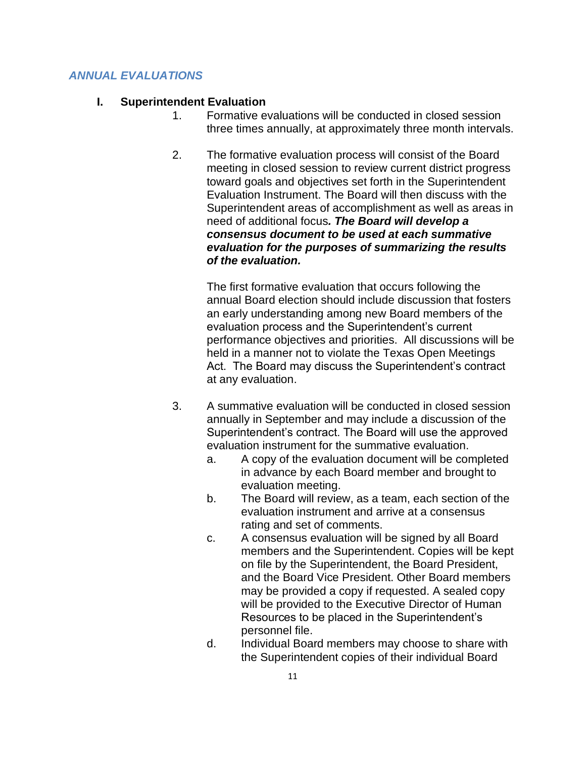#### *ANNUAL EVALUATIONS*

#### **I. Superintendent Evaluation**

- 1. Formative evaluations will be conducted in closed session three times annually, at approximately three month intervals.
- 2. The formative evaluation process will consist of the Board meeting in closed session to review current district progress toward goals and objectives set forth in the Superintendent Evaluation Instrument. The Board will then discuss with the Superintendent areas of accomplishment as well as areas in need of additional focus*. The Board will develop a consensus document to be used at each summative evaluation for the purposes of summarizing the results of the evaluation.*

The first formative evaluation that occurs following the annual Board election should include discussion that fosters an early understanding among new Board members of the evaluation process and the Superintendent's current performance objectives and priorities. All discussions will be held in a manner not to violate the Texas Open Meetings Act. The Board may discuss the Superintendent's contract at any evaluation.

- 3. A summative evaluation will be conducted in closed session annually in September and may include a discussion of the Superintendent's contract. The Board will use the approved evaluation instrument for the summative evaluation.
	- a. A copy of the evaluation document will be completed in advance by each Board member and brought to evaluation meeting.
	- b. The Board will review, as a team, each section of the evaluation instrument and arrive at a consensus rating and set of comments.
	- c. A consensus evaluation will be signed by all Board members and the Superintendent. Copies will be kept on file by the Superintendent, the Board President, and the Board Vice President. Other Board members may be provided a copy if requested. A sealed copy will be provided to the Executive Director of Human Resources to be placed in the Superintendent's personnel file.
	- d. Individual Board members may choose to share with the Superintendent copies of their individual Board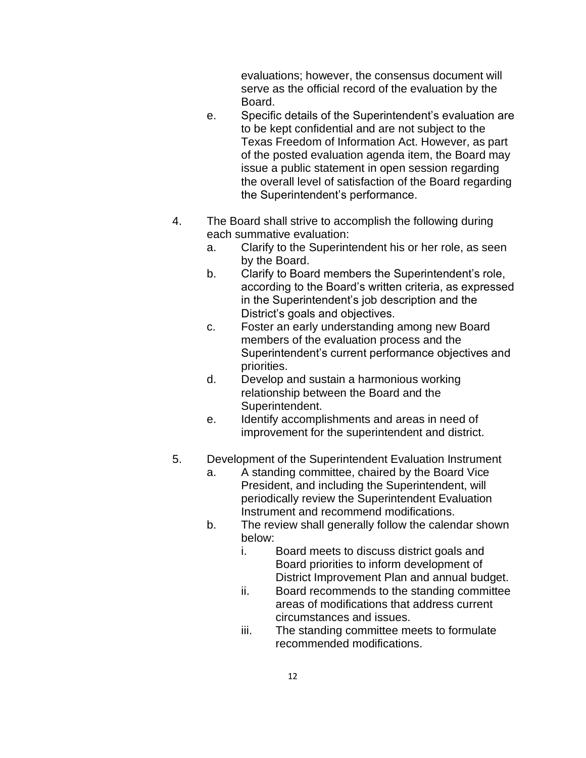evaluations; however, the consensus document will serve as the official record of the evaluation by the Board.

- e. Specific details of the Superintendent's evaluation are to be kept confidential and are not subject to the Texas Freedom of Information Act. However, as part of the posted evaluation agenda item, the Board may issue a public statement in open session regarding the overall level of satisfaction of the Board regarding the Superintendent's performance.
- 4. The Board shall strive to accomplish the following during each summative evaluation:
	- a. Clarify to the Superintendent his or her role, as seen by the Board.
	- b. Clarify to Board members the Superintendent's role, according to the Board's written criteria, as expressed in the Superintendent's job description and the District's goals and objectives.
	- c. Foster an early understanding among new Board members of the evaluation process and the Superintendent's current performance objectives and priorities.
	- d. Develop and sustain a harmonious working relationship between the Board and the Superintendent.
	- e. Identify accomplishments and areas in need of improvement for the superintendent and district.
- 5. Development of the Superintendent Evaluation Instrument
	- a. A standing committee, chaired by the Board Vice President, and including the Superintendent, will periodically review the Superintendent Evaluation Instrument and recommend modifications.
	- b. The review shall generally follow the calendar shown below:
		- i. Board meets to discuss district goals and Board priorities to inform development of District Improvement Plan and annual budget.
		- ii. Board recommends to the standing committee areas of modifications that address current circumstances and issues.
		- iii. The standing committee meets to formulate recommended modifications.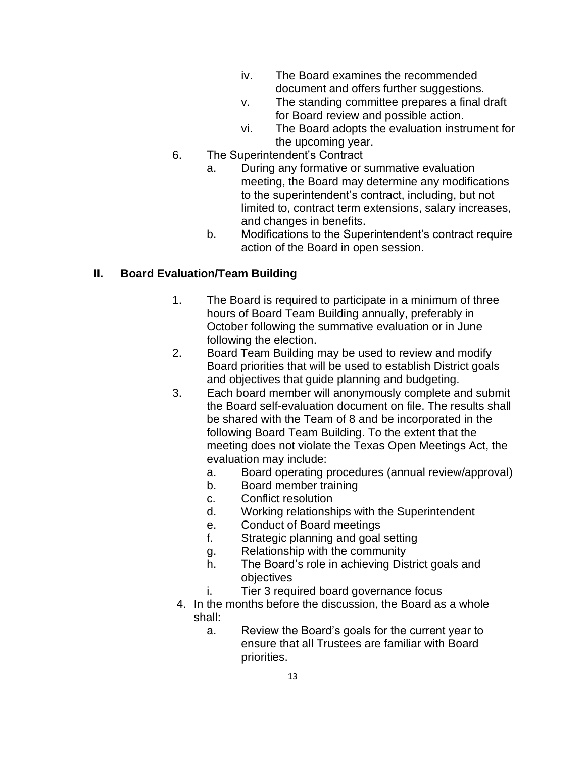- iv. The Board examines the recommended document and offers further suggestions.
- v. The standing committee prepares a final draft for Board review and possible action.
- vi. The Board adopts the evaluation instrument for the upcoming year.
- 6. The Superintendent's Contract
	- a. During any formative or summative evaluation meeting, the Board may determine any modifications to the superintendent's contract, including, but not limited to, contract term extensions, salary increases, and changes in benefits.
	- b. Modifications to the Superintendent's contract require action of the Board in open session.

# **II. Board Evaluation/Team Building**

- 1. The Board is required to participate in a minimum of three hours of Board Team Building annually, preferably in October following the summative evaluation or in June following the election.
- 2. Board Team Building may be used to review and modify Board priorities that will be used to establish District goals and objectives that guide planning and budgeting.
- 3. Each board member will anonymously complete and submit the Board self-evaluation document on file. The results shall be shared with the Team of 8 and be incorporated in the following Board Team Building. To the extent that the meeting does not violate the Texas Open Meetings Act, the evaluation may include:
	- a. Board operating procedures (annual review/approval)
	- b. Board member training
	- c. Conflict resolution
	- d. Working relationships with the Superintendent
	- e. Conduct of Board meetings
	- f. Strategic planning and goal setting
	- g. Relationship with the community
	- h. The Board's role in achieving District goals and objectives
	- i. Tier 3 required board governance focus
- 4. In the months before the discussion, the Board as a whole shall:
	- a. Review the Board's goals for the current year to ensure that all Trustees are familiar with Board priorities.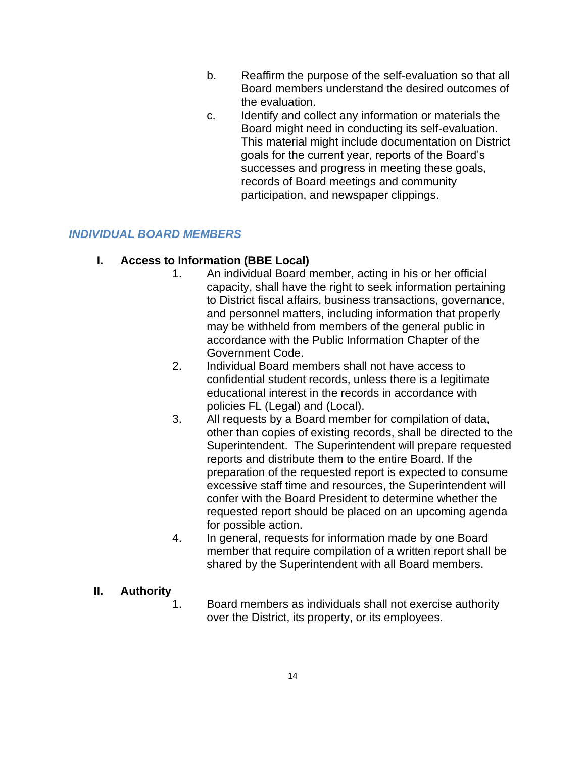- b. Reaffirm the purpose of the self-evaluation so that all Board members understand the desired outcomes of the evaluation.
- c. Identify and collect any information or materials the Board might need in conducting its self-evaluation. This material might include documentation on District goals for the current year, reports of the Board's successes and progress in meeting these goals, records of Board meetings and community participation, and newspaper clippings.

#### *INDIVIDUAL BOARD MEMBERS*

#### **I. Access to Information (BBE Local)**

- 1. An individual Board member, acting in his or her official capacity, shall have the right to seek information pertaining to District fiscal affairs, business transactions, governance, and personnel matters, including information that properly may be withheld from members of the general public in accordance with the Public Information Chapter of the Government Code.
- 2. Individual Board members shall not have access to confidential student records, unless there is a legitimate educational interest in the records in accordance with policies FL (Legal) and (Local).
- 3. All requests by a Board member for compilation of data, other than copies of existing records, shall be directed to the Superintendent. The Superintendent will prepare requested reports and distribute them to the entire Board. If the preparation of the requested report is expected to consume excessive staff time and resources, the Superintendent will confer with the Board President to determine whether the requested report should be placed on an upcoming agenda for possible action.
- 4. In general, requests for information made by one Board member that require compilation of a written report shall be shared by the Superintendent with all Board members.

#### **II. Authority**

1. Board members as individuals shall not exercise authority over the District, its property, or its employees.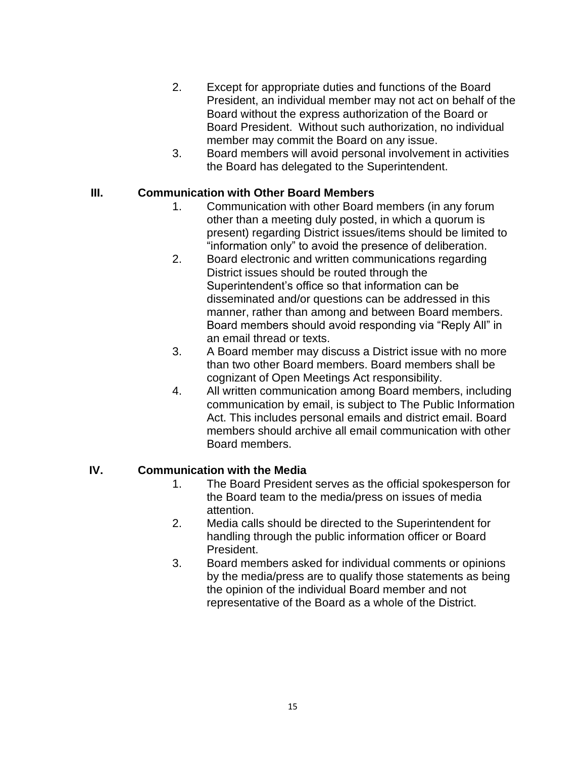- 2. Except for appropriate duties and functions of the Board President, an individual member may not act on behalf of the Board without the express authorization of the Board or Board President. Without such authorization, no individual member may commit the Board on any issue.
- 3. Board members will avoid personal involvement in activities the Board has delegated to the Superintendent.

#### **III. Communication with Other Board Members**

- 1. Communication with other Board members (in any forum other than a meeting duly posted, in which a quorum is present) regarding District issues/items should be limited to "information only" to avoid the presence of deliberation.
- 2. Board electronic and written communications regarding District issues should be routed through the Superintendent's office so that information can be disseminated and/or questions can be addressed in this manner, rather than among and between Board members. Board members should avoid responding via "Reply All" in an email thread or texts.
- 3. A Board member may discuss a District issue with no more than two other Board members. Board members shall be cognizant of Open Meetings Act responsibility.
- 4. All written communication among Board members, including communication by email, is subject to The Public Information Act. This includes personal emails and district email. Board members should archive all email communication with other Board members.

#### **IV. Communication with the Media**

- 1. The Board President serves as the official spokesperson for the Board team to the media/press on issues of media attention.
- 2. Media calls should be directed to the Superintendent for handling through the public information officer or Board President.
- 3. Board members asked for individual comments or opinions by the media/press are to qualify those statements as being the opinion of the individual Board member and not representative of the Board as a whole of the District.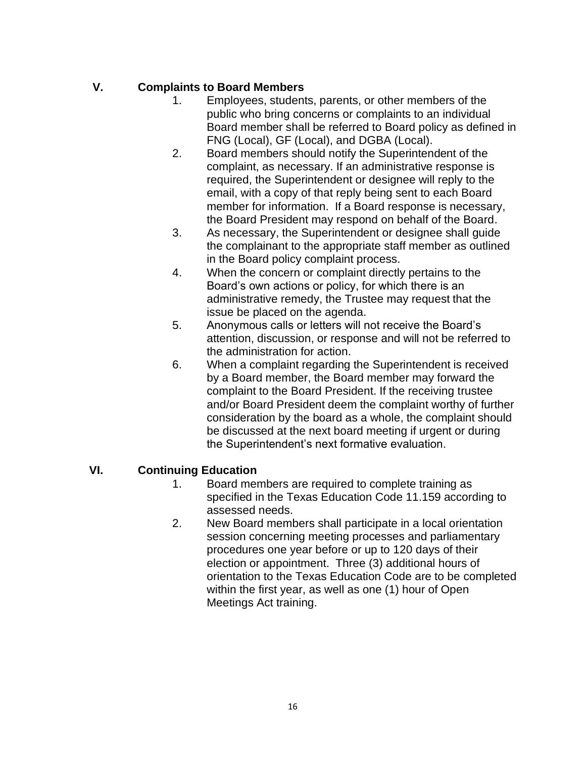### **V. Complaints to Board Members**

- 1. Employees, students, parents, or other members of the public who bring concerns or complaints to an individual Board member shall be referred to Board policy as defined in FNG (Local), GF (Local), and DGBA (Local).
- 2. Board members should notify the Superintendent of the complaint, as necessary. If an administrative response is required, the Superintendent or designee will reply to the email, with a copy of that reply being sent to each Board member for information. If a Board response is necessary, the Board President may respond on behalf of the Board.
- 3. As necessary, the Superintendent or designee shall guide the complainant to the appropriate staff member as outlined in the Board policy complaint process.
- 4. When the concern or complaint directly pertains to the Board's own actions or policy, for which there is an administrative remedy, the Trustee may request that the issue be placed on the agenda.
- 5. Anonymous calls or letters will not receive the Board's attention, discussion, or response and will not be referred to the administration for action.
- 6. When a complaint regarding the Superintendent is received by a Board member, the Board member may forward the complaint to the Board President. If the receiving trustee and/or Board President deem the complaint worthy of further consideration by the board as a whole, the complaint should be discussed at the next board meeting if urgent or during the Superintendent's next formative evaluation.

# **VI. Continuing Education**

- 1. Board members are required to complete training as specified in the Texas Education Code 11.159 according to assessed needs.
- 2. New Board members shall participate in a local orientation session concerning meeting processes and parliamentary procedures one year before or up to 120 days of their election or appointment. Three (3) additional hours of orientation to the Texas Education Code are to be completed within the first year, as well as one (1) hour of Open Meetings Act training.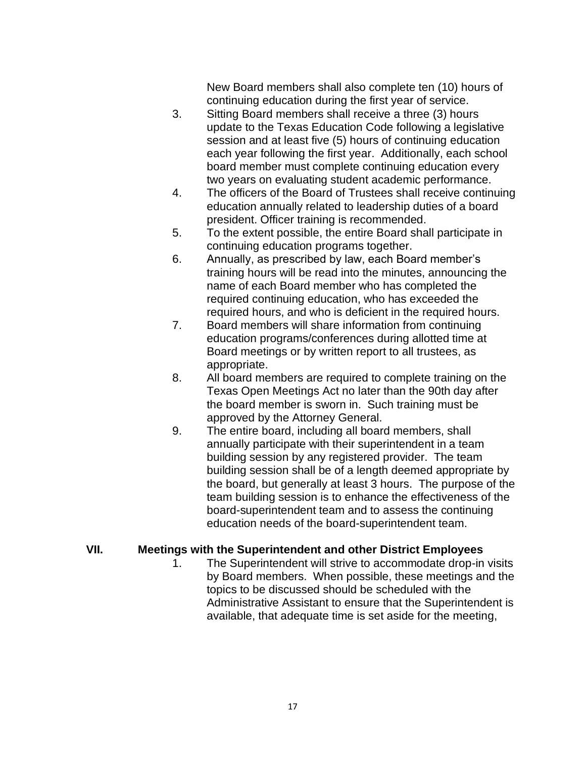New Board members shall also complete ten (10) hours of continuing education during the first year of service.

- 3. Sitting Board members shall receive a three (3) hours update to the Texas Education Code following a legislative session and at least five (5) hours of continuing education each year following the first year. Additionally, each school board member must complete continuing education every two years on evaluating student academic performance.
- 4. The officers of the Board of Trustees shall receive continuing education annually related to leadership duties of a board president. Officer training is recommended.
- 5. To the extent possible, the entire Board shall participate in continuing education programs together.
- 6. Annually, as prescribed by law, each Board member's training hours will be read into the minutes, announcing the name of each Board member who has completed the required continuing education, who has exceeded the required hours, and who is deficient in the required hours.
- 7. Board members will share information from continuing education programs/conferences during allotted time at Board meetings or by written report to all trustees, as appropriate.
- 8. All board members are required to complete training on the Texas Open Meetings Act no later than the 90th day after the board member is sworn in. Such training must be approved by the Attorney General.
- 9. The entire board, including all board members, shall annually participate with their superintendent in a team building session by any registered provider. The team building session shall be of a length deemed appropriate by the board, but generally at least 3 hours. The purpose of the team building session is to enhance the effectiveness of the board-superintendent team and to assess the continuing education needs of the board-superintendent team.

#### **VII. Meetings with the Superintendent and other District Employees**

1. The Superintendent will strive to accommodate drop-in visits by Board members. When possible, these meetings and the topics to be discussed should be scheduled with the Administrative Assistant to ensure that the Superintendent is available, that adequate time is set aside for the meeting,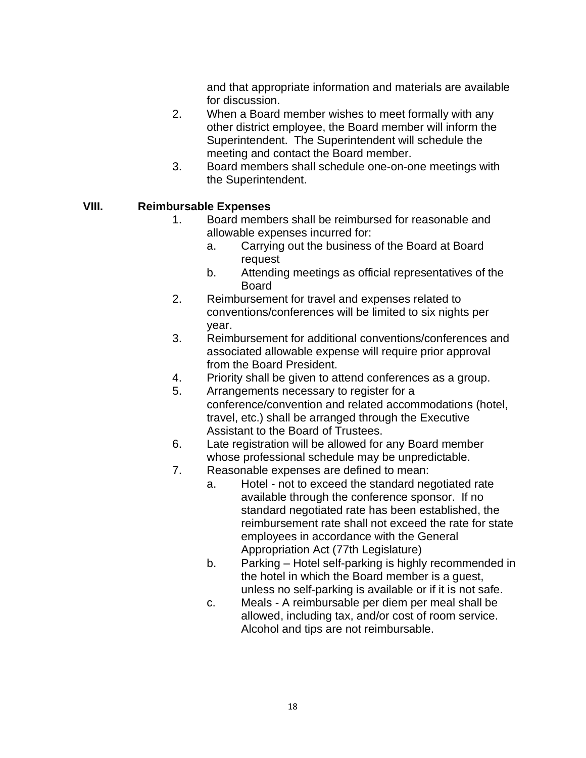and that appropriate information and materials are available for discussion.

- 2. When a Board member wishes to meet formally with any other district employee, the Board member will inform the Superintendent. The Superintendent will schedule the meeting and contact the Board member.
- 3. Board members shall schedule one-on-one meetings with the Superintendent.

#### **VIII. Reimbursable Expenses**

- 1. Board members shall be reimbursed for reasonable and allowable expenses incurred for:
	- a. Carrying out the business of the Board at Board request
	- b. Attending meetings as official representatives of the **Board**
- 2. Reimbursement for travel and expenses related to conventions/conferences will be limited to six nights per year.
- 3. Reimbursement for additional conventions/conferences and associated allowable expense will require prior approval from the Board President.
- 4. Priority shall be given to attend conferences as a group.
- 5. Arrangements necessary to register for a conference/convention and related accommodations (hotel, travel, etc.) shall be arranged through the Executive Assistant to the Board of Trustees.
- 6. Late registration will be allowed for any Board member whose professional schedule may be unpredictable.
- 7. Reasonable expenses are defined to mean:
	- a. Hotel not to exceed the standard negotiated rate available through the conference sponsor. If no standard negotiated rate has been established, the reimbursement rate shall not exceed the rate for state employees in accordance with the General Appropriation Act (77th Legislature)
	- b. Parking Hotel self-parking is highly recommended in the hotel in which the Board member is a guest, unless no self-parking is available or if it is not safe.
	- c. Meals A reimbursable per diem per meal shall be allowed, including tax, and/or cost of room service. Alcohol and tips are not reimbursable.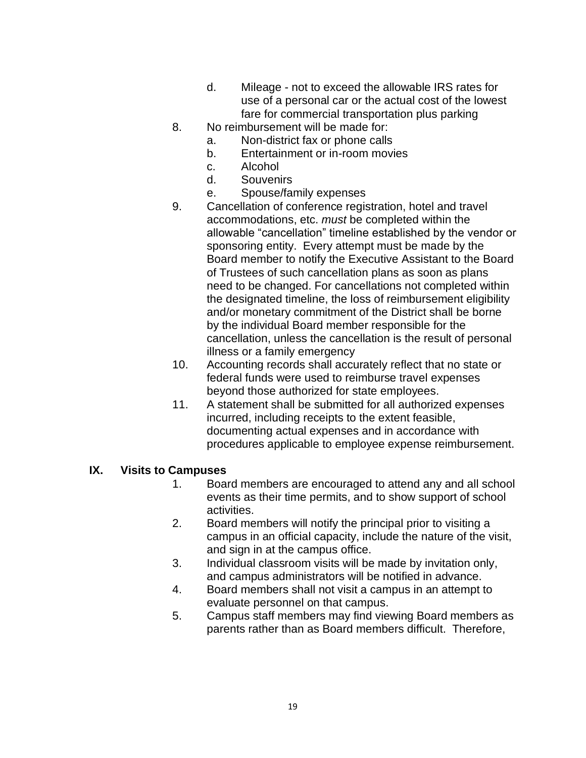- d. Mileage not to exceed the allowable IRS rates for use of a personal car or the actual cost of the lowest fare for commercial transportation plus parking
- 8. No reimbursement will be made for:
	- a. Non-district fax or phone calls
	- b. Entertainment or in-room movies
	- c. Alcohol
	- d. Souvenirs
	- e. Spouse/family expenses
- 9. Cancellation of conference registration, hotel and travel accommodations, etc. *must* be completed within the allowable "cancellation" timeline established by the vendor or sponsoring entity. Every attempt must be made by the Board member to notify the Executive Assistant to the Board of Trustees of such cancellation plans as soon as plans need to be changed. For cancellations not completed within the designated timeline, the loss of reimbursement eligibility and/or monetary commitment of the District shall be borne by the individual Board member responsible for the cancellation, unless the cancellation is the result of personal illness or a family emergency
- 10. Accounting records shall accurately reflect that no state or federal funds were used to reimburse travel expenses beyond those authorized for state employees.
- 11. A statement shall be submitted for all authorized expenses incurred, including receipts to the extent feasible, documenting actual expenses and in accordance with procedures applicable to employee expense reimbursement.

#### **IX. Visits to Campuses**

- 1. Board members are encouraged to attend any and all school events as their time permits, and to show support of school activities.
- 2. Board members will notify the principal prior to visiting a campus in an official capacity, include the nature of the visit, and sign in at the campus office.
- 3. Individual classroom visits will be made by invitation only, and campus administrators will be notified in advance.
- 4. Board members shall not visit a campus in an attempt to evaluate personnel on that campus.
- 5. Campus staff members may find viewing Board members as parents rather than as Board members difficult. Therefore,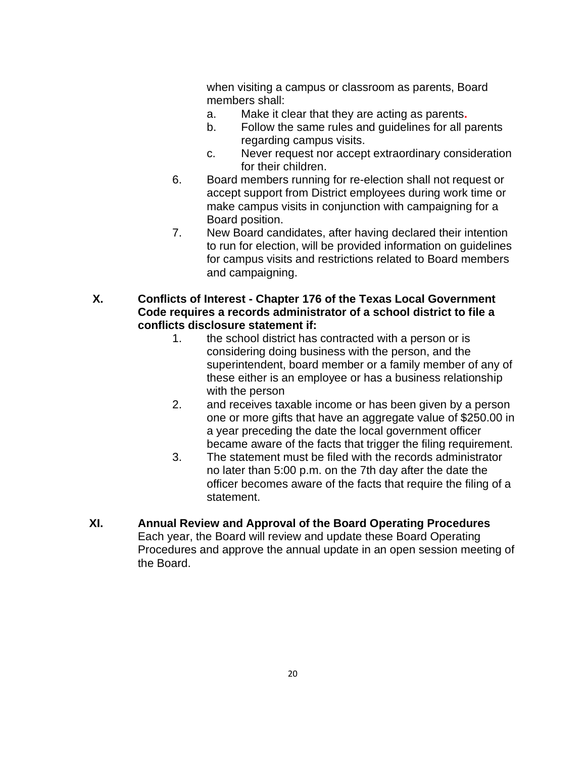when visiting a campus or classroom as parents, Board members shall:

- a. Make it clear that they are acting as parents**.**
- b. Follow the same rules and guidelines for all parents regarding campus visits.
- c. Never request nor accept extraordinary consideration for their children.
- 6. Board members running for re-election shall not request or accept support from District employees during work time or make campus visits in conjunction with campaigning for a Board position.
- 7. New Board candidates, after having declared their intention to run for election, will be provided information on guidelines for campus visits and restrictions related to Board members and campaigning.
- **X. Conflicts of Interest - Chapter 176 of the Texas Local Government Code requires a records administrator of a school district to file a conflicts disclosure statement if:**
	- 1. the school district has contracted with a person or is considering doing business with the person, and the superintendent, board member or a family member of any of these either is an employee or has a business relationship with the person
	- 2. and receives taxable income or has been given by a person one or more gifts that have an aggregate value of \$250.00 in a year preceding the date the local government officer became aware of the facts that trigger the filing requirement.
	- 3. The statement must be filed with the records administrator no later than 5:00 p.m. on the 7th day after the date the officer becomes aware of the facts that require the filing of a statement.
- **XI. Annual Review and Approval of the Board Operating Procedures** Each year, the Board will review and update these Board Operating Procedures and approve the annual update in an open session meeting of the Board.